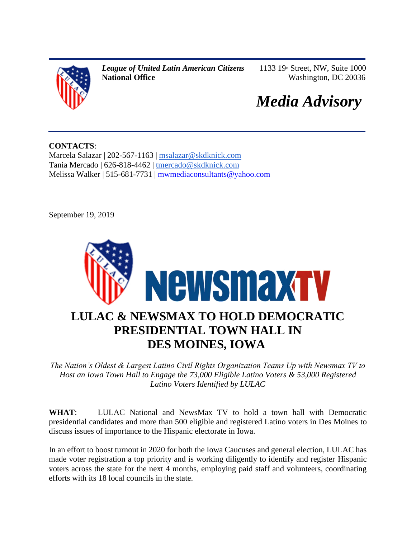

*League of United Latin American Citizens* **National Office**

1133 19th Street, NW, Suite 1000 Washington, DC 20036

# *Media Advisory*

**CONTACTS**: Marcela Salazar | 202-567-1163 | [msalazar@skdknick.com](mailto:msalazar@skdknick.com) Tania Mercado | 626-818-4462 | [tmercado@skdknick.com](mailto:tmercado@skdknick.com) Melissa Walker | 515-681-7731 | [mwmediaconsultants@yahoo.com](mailto:mwmediaconsultants@yahoo.com)

September 19, 2019



*The Nation's Oldest & Largest Latino Civil Rights Organization Teams Up with Newsmax TV to Host an Iowa Town Hall to Engage the 73,000 Eligible Latino Voters & 53,000 Registered Latino Voters Identified by LULAC*

**WHAT**: LULAC National and NewsMax TV to hold a town hall with Democratic presidential candidates and more than 500 eligible and registered Latino voters in Des Moines to discuss issues of importance to the Hispanic electorate in Iowa.

In an effort to boost turnout in 2020 for both the Iowa Caucuses and general election, LULAC has made voter registration a top priority and is working diligently to identify and register Hispanic voters across the state for the next 4 months, employing paid staff and volunteers, coordinating efforts with its 18 local councils in the state.